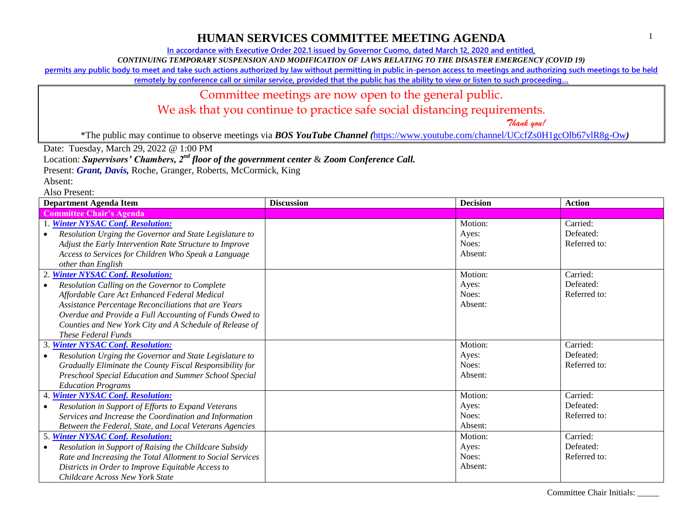**In accordance with Executive Order 202.1 issued by Governor Cuomo, dated March 12, 2020 and entitled,**

*CONTINUING TEMPORARY SUSPENSION AND MODIFICATION OF LAWS RELATING TO THE DISASTER EMERGENCY (COVID 19)*

**permits any public body to meet and take such actions authorized by law without permitting in public in-person access to meetings and authorizing such meetings to be held** 

**remotely by conference call or similar service, provided that the public has the ability to view or listen to such proceeding…**

### Committee meetings are now open to the general public.

We ask that you continue to practice safe social distancing requirements.

 *Thank you!*

\*The public may continue to observe meetings via *BOS YouTube Channel (*<https://www.youtube.com/channel/UCcfZs0H1gcOlb67vlR8g-Ow>*)*

Date: Tuesday, March 29, 2022 @ 1:00 PM

Location: *Supervisors' Chambers, 2nd floor of the government center* & *Zoom Conference Call.*

Present: *Grant, Davis*, Roche, Granger, Roberts, McCormick, King

Absent: Also Present:

**Committee Chair's Agenda** 1. *[Winter NYSAC Conf. Resolution:](https://www.wyomingco.net/DocumentCenter/View/9036/A-Adjust-Early-Intervention-Rate-Structure-to-Improve-Access) Resolution Urging the Governor and State Legislature to Adjust the Early Intervention Rate Structure to Improve Access to Services for Children Who Speak a Language other than English* Motion: Ayes: Noes: Absent: Carried: Defeated: Referred to: *Resolution Calling on the Governor to Complete Affordable Care Act Enhanced Federal Medical Assistance Percentage Reconciliations that are Years Overdue and Provide a Full Accounting of Funds Owed to Counties and New York City and A Schedule of Release of These Federal Funds* Motion: Ayes: Noes: Absent: Carried: Defeated: Referred to: *Gradually Eliminate the County Fiscal Responsibility for Preschool Special Education and Summer School Special Education Programs* Motion: Ayes: Noes: Absent: Carried: Defeated: Referred to: 4. *[Winter NYSAC Conf. Resolution:](https://www.wyomingco.net/DocumentCenter/View/9039/A-Expand-Veterans-Services) Resolution in Support of Efforts to Expand Veterans Services and Increase the Coordination and Information Between the Federal, State, and Local Veterans Agencies* Motion: Ayes: Noes: Absent: Carried: Defeated: Referred to: 5. *[Winter NYSAC Conf. Resolution:](https://www.wyomingco.net/DocumentCenter/View/9040/A-Support-of-Raising-the-Childcare-Subsidy-Rate-and-Increasing) Resolution in Support of Raising the Childcare Subsidy Rate and Increasing the Total Allotment to Social Services Districts in Order to Improve Equitable Access to Childcare Across New York State* Motion: Ayes: Noes: Absent: Carried: Defeated: Referred to:

**Department Agenda Item Constanting Constanting Constanting Discussion Decision Decision Action** 

2. *[Winter NYSAC Conf. Resolution:](https://www.wyomingco.net/DocumentCenter/View/9037/A-Complete-ACA-Enhanced-Federal-Medicaid-Assistance-Percentage-Reconcilliations)* 3. *[Winter NYSAC Conf. Resolution:](https://www.wyomingco.net/DocumentCenter/View/9038/A-Eliminate-the-Co-Fiscal-Responsibility-Preschool-Special-Education-and-Summer-School-Special-Education) Resolution Urging the Governor and State Legislature to*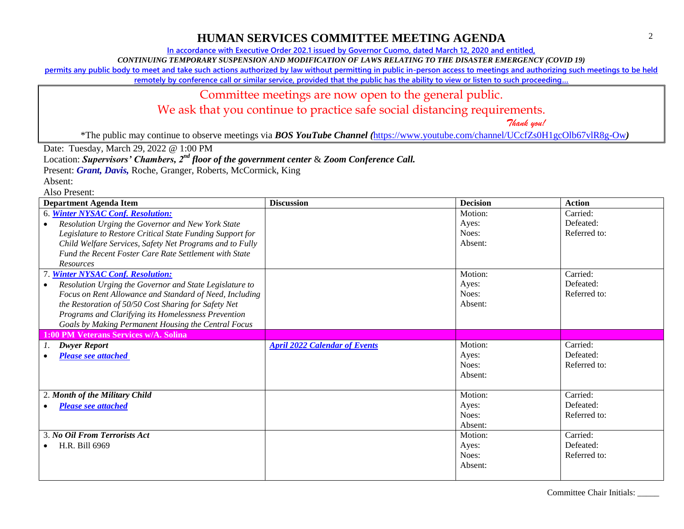**In accordance with Executive Order 202.1 issued by Governor Cuomo, dated March 12, 2020 and entitled,**

*CONTINUING TEMPORARY SUSPENSION AND MODIFICATION OF LAWS RELATING TO THE DISASTER EMERGENCY (COVID 19)*

**permits any public body to meet and take such actions authorized by law without permitting in public in-person access to meetings and authorizing such meetings to be held** 

**remotely by conference call or similar service, provided that the public has the ability to view or listen to such proceeding…**

### Committee meetings are now open to the general public.

We ask that you continue to practice safe social distancing requirements.

 *Thank you!*

\*The public may continue to observe meetings via *BOS YouTube Channel (*<https://www.youtube.com/channel/UCcfZs0H1gcOlb67vlR8g-Ow>*)*

Date: Tuesday, March 29, 2022 @ 1:00 PM

Location: *Supervisors' Chambers, 2nd floor of the government center* & *Zoom Conference Call.*

Present: *Grant, Davis*, Roche, Granger, Roberts, McCormick, King

Absent:

| <b>Department Agenda Item</b>                             | <b>Discussion</b>                    | <b>Decision</b> | <b>Action</b> |
|-----------------------------------------------------------|--------------------------------------|-----------------|---------------|
| 6. Winter NYSAC Conf. Resolution:                         |                                      | Motion:         | Carried:      |
| Resolution Urging the Governor and New York State         |                                      | Ayes:           | Defeated:     |
| Legislature to Restore Critical State Funding Support for |                                      | Noes:           | Referred to:  |
| Child Welfare Services, Safety Net Programs and to Fully  |                                      | Absent:         |               |
| Fund the Recent Foster Care Rate Settlement with State    |                                      |                 |               |
| <b>Resources</b>                                          |                                      |                 |               |
| <b>Winter NYSAC Conf. Resolution:</b>                     |                                      | Motion:         | Carried:      |
| Resolution Urging the Governor and State Legislature to   |                                      | Ayes:           | Defeated:     |
| Focus on Rent Allowance and Standard of Need, Including   |                                      | Noes:           | Referred to:  |
| the Restoration of 50/50 Cost Sharing for Safety Net      |                                      | Absent:         |               |
| Programs and Clarifying its Homelessness Prevention       |                                      |                 |               |
| Goals by Making Permanent Housing the Central Focus       |                                      |                 |               |
| 1:00 PM Veterans Services w/A. Solina                     |                                      |                 |               |
| <b>Dwyer Report</b>                                       | <b>April 2022 Calendar of Events</b> | Motion:         | Carried:      |
| <b>Please see attached</b>                                |                                      | Ayes:           | Defeated:     |
|                                                           |                                      | Noes:           | Referred to:  |
|                                                           |                                      | Absent:         |               |
|                                                           |                                      |                 |               |
| 2. Month of the Military Child                            |                                      | Motion:         | Carried:      |
| <b>Please see attached</b>                                |                                      | Ayes:           | Defeated:     |
|                                                           |                                      | Noes:           | Referred to:  |
|                                                           |                                      | Absent:         |               |
| 3. No Oil From Terrorists Act                             |                                      | Motion:         | Carried:      |
| H.R. Bill 6969                                            |                                      | Ayes:           | Defeated:     |
|                                                           |                                      | Noes:           | Referred to:  |
|                                                           |                                      | Absent:         |               |
|                                                           |                                      |                 |               |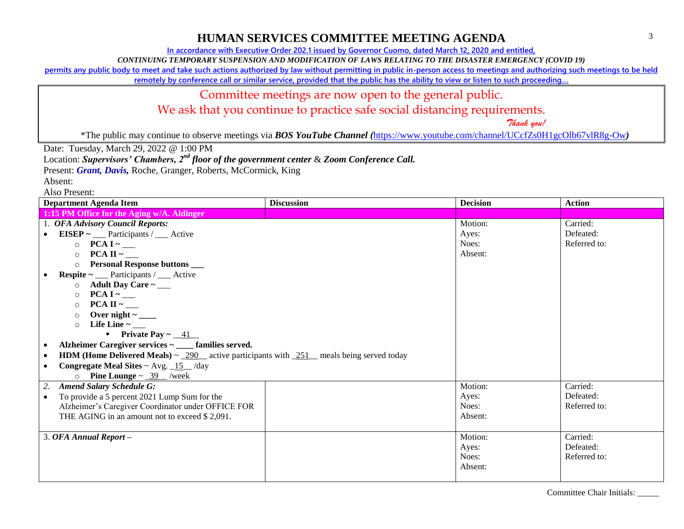**In accordance with Executive Order 202.1 issued by Governor Cuomo, dated March 12, 2020 and entitled,**

*CONTINUING TEMPORARY SUSPENSION AND MODIFICATION OF LAWS RELATING TO THE DISASTER EMERGENCY (COVID 19)*

**permits any public body to meet and take such actions authorized by law without permitting in public in-person access to meetings and authorizing such meetings to be held** 

**remotely by conference call or similar service, provided that the public has the ability to view or listen to such proceeding…**

#### Committee meetings are now open to the general public.

We ask that you continue to practice safe social distancing requirements.

 *Thank you!*

\*The public may continue to observe meetings via *BOS YouTube Channel (*<https://www.youtube.com/channel/UCcfZs0H1gcOlb67vlR8g-Ow>*)*

Date: Tuesday, March 29, 2022 @ 1:00 PM

Location: *Supervisors' Chambers, 2nd floor of the government center* & *Zoom Conference Call.*

Present: *Grant, Davis*, Roche, Granger, Roberts, McCormick, King

Absent:

| <b>Department Agenda Item</b>                                                                                   | <b>Discussion</b> | <b>Decision</b> | <b>Action</b> |
|-----------------------------------------------------------------------------------------------------------------|-------------------|-----------------|---------------|
| 1:15 PM Office for the Aging w/A. Aldinger                                                                      |                   |                 |               |
| 1. OFA Advisory Council Reports:                                                                                |                   | Motion:         | Carried:      |
| EISEP ~ $\text{SUSE}$ - Participants / $\text{SUSE}$<br>$\bullet$                                               |                   | Ayes:           | Defeated:     |
| $\circ$ PCA I ~ __                                                                                              |                   | Noes:           | Referred to:  |
| $\Omega$                                                                                                        |                   | Absent:         |               |
| <b>Personal Response buttons</b><br>$\Omega$                                                                    |                   |                 |               |
| <b>Respite</b> ~ ___ Participants / ___ Active<br>$\bullet$                                                     |                   |                 |               |
| Adult Day Care $\sim$ ____<br>$\circ$                                                                           |                   |                 |               |
| $\circ$                                                                                                         |                   |                 |               |
| $PCA II ~\sim$<br>$\circ$                                                                                       |                   |                 |               |
| $\circ$                                                                                                         |                   |                 |               |
| Life Line $\sim$ ___<br>$\Omega$                                                                                |                   |                 |               |
| <b>•</b> Private Pay $\sim$ 41                                                                                  |                   |                 |               |
| Alzheimer Caregiver services ~ ____ families served.<br>$\bullet$                                               |                   |                 |               |
| <b>HDM (Home Delivered Meals)</b> $\sim$ 290 eative participants with 251 meals being served today<br>$\bullet$ |                   |                 |               |
| <b>Congregate Meal Sites ~ Avg.</b> $15$ /day                                                                   |                   |                 |               |
| <b>Pine Lounge</b> $\sim$ _39 __/week<br>$\circ$                                                                |                   |                 |               |
| <b>Amend Salary Schedule G:</b><br>2.                                                                           |                   | Motion:         | Carried:      |
| To provide a 5 percent 2021 Lump Sum for the<br>$\bullet$                                                       |                   | Ayes:           | Defeated:     |
| Alzheimer's Caregiver Coordinator under OFFICE FOR                                                              |                   | Noes:           | Referred to:  |
| THE AGING in an amount not to exceed \$2,091.                                                                   |                   | Absent:         |               |
|                                                                                                                 |                   |                 |               |
| 3. OFA Annual Report -                                                                                          |                   | Motion:         | Carried:      |
|                                                                                                                 |                   | Ayes:           | Defeated:     |
|                                                                                                                 |                   | Noes:           | Referred to:  |
|                                                                                                                 |                   | Absent:         |               |
|                                                                                                                 |                   |                 |               |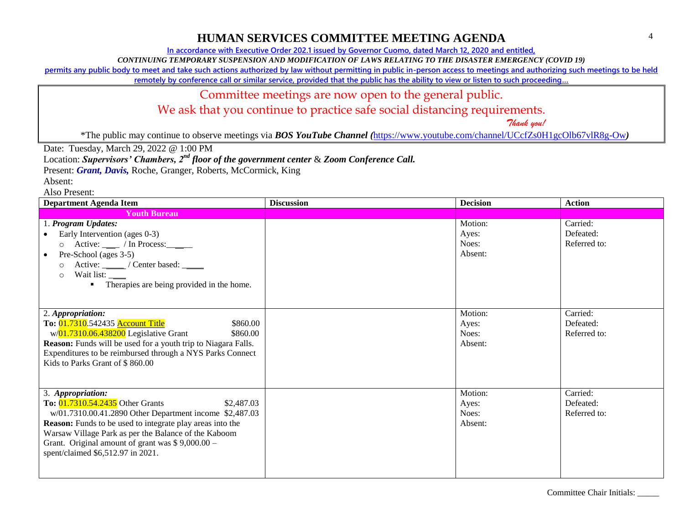**In accordance with Executive Order 202.1 issued by Governor Cuomo, dated March 12, 2020 and entitled,**

*CONTINUING TEMPORARY SUSPENSION AND MODIFICATION OF LAWS RELATING TO THE DISASTER EMERGENCY (COVID 19)*

**permits any public body to meet and take such actions authorized by law without permitting in public in-person access to meetings and authorizing such meetings to be held** 

**remotely by conference call or similar service, provided that the public has the ability to view or listen to such proceeding…**

#### Committee meetings are now open to the general public.

We ask that you continue to practice safe social distancing requirements.

 *Thank you!*

\*The public may continue to observe meetings via *BOS YouTube Channel (*<https://www.youtube.com/channel/UCcfZs0H1gcOlb67vlR8g-Ow>*)*

Date: Tuesday, March 29, 2022 @ 1:00 PM

Location: *Supervisors' Chambers, 2nd floor of the government center* & *Zoom Conference Call.*

Present: *Grant, Davis*, Roche, Granger, Roberts, McCormick, King

Absent:

| <b>Department Agenda Item</b>                                                                                                                                                                                                                                                                                                                 | <b>Discussion</b> | <b>Decision</b>                      | <b>Action</b>                         |
|-----------------------------------------------------------------------------------------------------------------------------------------------------------------------------------------------------------------------------------------------------------------------------------------------------------------------------------------------|-------------------|--------------------------------------|---------------------------------------|
| <b>Youth Bureau</b>                                                                                                                                                                                                                                                                                                                           |                   |                                      |                                       |
| 1. Program Updates:<br>Early Intervention (ages 0-3)<br>$Active:$ $\_\_$ / In Process: $\_\_$<br>$\circ$<br>Pre-School (ages 3-5)<br>$\bullet$<br>Active: ______ / Center based: _____<br>$\circ$<br>Wait list:<br>$\circ$<br>Therapies are being provided in the home.<br>٠                                                                  |                   | Motion:<br>Ayes:<br>Noes:<br>Absent: | Carried:<br>Defeated:<br>Referred to: |
| 2. Appropriation:<br>To: 01.7310.542435 Account Title<br>\$860.00<br>w/01.7310.06.438200 Legislative Grant<br>\$860.00<br>Reason: Funds will be used for a youth trip to Niagara Falls.<br>Expenditures to be reimbursed through a NYS Parks Connect<br>Kids to Parks Grant of \$860.00                                                       |                   | Motion:<br>Ayes:<br>Noes:<br>Absent: | Carried:<br>Defeated:<br>Referred to: |
| 3. Appropriation:<br>To: 01.7310.54.2435 Other Grants<br>\$2,487.03<br>w/01.7310.00.41.2890 Other Department income \$2,487.03<br>Reason: Funds to be used to integrate play areas into the<br>Warsaw Village Park as per the Balance of the Kaboom<br>Grant. Original amount of grant was $$9,000.00 -$<br>spent/claimed \$6,512.97 in 2021. |                   | Motion:<br>Ayes:<br>Noes:<br>Absent: | Carried:<br>Defeated:<br>Referred to: |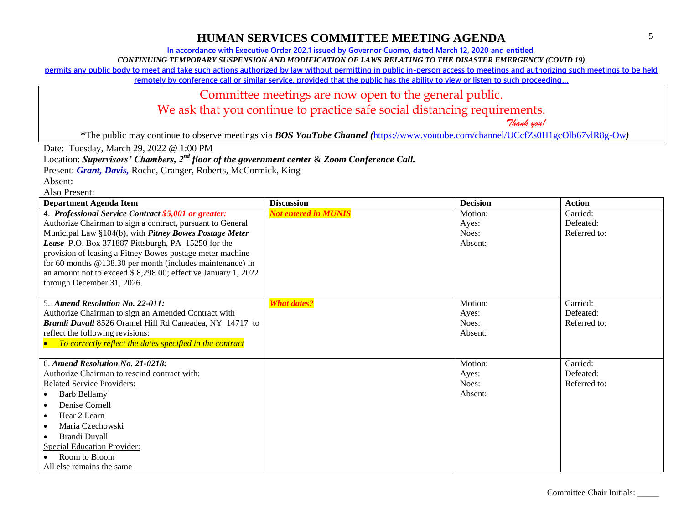**In accordance with Executive Order 202.1 issued by Governor Cuomo, dated March 12, 2020 and entitled,**

*CONTINUING TEMPORARY SUSPENSION AND MODIFICATION OF LAWS RELATING TO THE DISASTER EMERGENCY (COVID 19)*

**permits any public body to meet and take such actions authorized by law without permitting in public in-person access to meetings and authorizing such meetings to be held** 

**remotely by conference call or similar service, provided that the public has the ability to view or listen to such proceeding…**

### Committee meetings are now open to the general public.

We ask that you continue to practice safe social distancing requirements.

 *Thank you!*

\*The public may continue to observe meetings via *BOS YouTube Channel (*<https://www.youtube.com/channel/UCcfZs0H1gcOlb67vlR8g-Ow>*)*

Date: Tuesday, March 29, 2022 @ 1:00 PM

Location: *Supervisors' Chambers, 2nd floor of the government center* & *Zoom Conference Call.*

Present: *Grant, Davis*, Roche, Granger, Roberts, McCormick, King

Absent:

| <b>Department Agenda Item</b>                                 | <b>Discussion</b>           | <b>Decision</b> | <b>Action</b>             |
|---------------------------------------------------------------|-----------------------------|-----------------|---------------------------|
| 4. Professional Service Contract \$5,001 or greater:          | <b>Not entered in MUNIS</b> | Motion:         | Carried:                  |
| Authorize Chairman to sign a contract, pursuant to General    |                             | Ayes:           | Defeated:                 |
| Municipal Law §104(b), with Pitney Bowes Postage Meter        |                             | Noes:           | Referred to:              |
| Lease P.O. Box 371887 Pittsburgh, PA 15250 for the            |                             | Absent:         |                           |
| provision of leasing a Pitney Bowes postage meter machine     |                             |                 |                           |
| for 60 months $@138.30$ per month (includes maintenance) in   |                             |                 |                           |
| an amount not to exceed \$8,298.00; effective January 1, 2022 |                             |                 |                           |
| through December 31, 2026.                                    |                             |                 |                           |
|                                                               |                             |                 |                           |
| 5. Amend Resolution No. 22-011:                               | <b>What dates?</b>          | Motion:         | Carried:                  |
| Authorize Chairman to sign an Amended Contract with           |                             | Ayes:           | Defeated:                 |
| Brandi Duvall 8526 Oramel Hill Rd Caneadea, NY 14717 to       |                             | Noes:           | Referred to:              |
| reflect the following revisions:                              |                             | Absent:         |                           |
| To correctly reflect the dates specified in the contract      |                             |                 |                           |
|                                                               |                             |                 |                           |
| 6. Amend Resolution No. 21-0218:                              |                             | Motion:         | Carried:                  |
| Authorize Chairman to rescind contract with:                  |                             | Ayes:<br>Noes:  | Defeated:<br>Referred to: |
| <b>Related Service Providers:</b>                             |                             | Absent:         |                           |
| <b>Barb Bellamy</b>                                           |                             |                 |                           |
| Denise Cornell                                                |                             |                 |                           |
| Hear 2 Learn<br>$\bullet$                                     |                             |                 |                           |
| Maria Czechowski                                              |                             |                 |                           |
| Brandi Duvall                                                 |                             |                 |                           |
| <b>Special Education Provider:</b>                            |                             |                 |                           |
| Room to Bloom                                                 |                             |                 |                           |
| All else remains the same                                     |                             |                 |                           |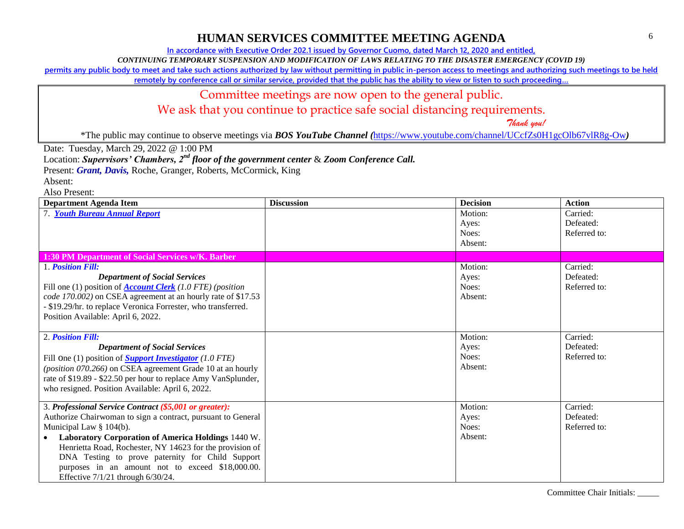**In accordance with Executive Order 202.1 issued by Governor Cuomo, dated March 12, 2020 and entitled,**

*CONTINUING TEMPORARY SUSPENSION AND MODIFICATION OF LAWS RELATING TO THE DISASTER EMERGENCY (COVID 19)*

**permits any public body to meet and take such actions authorized by law without permitting in public in-person access to meetings and authorizing such meetings to be held** 

**remotely by conference call or similar service, provided that the public has the ability to view or listen to such proceeding…**

#### Committee meetings are now open to the general public.

We ask that you continue to practice safe social distancing requirements.

 *Thank you!*

\*The public may continue to observe meetings via *BOS YouTube Channel (*<https://www.youtube.com/channel/UCcfZs0H1gcOlb67vlR8g-Ow>*)*

Date: Tuesday, March 29, 2022 @ 1:00 PM

Location: *Supervisors' Chambers, 2nd floor of the government center* & *Zoom Conference Call.*

Present: *Grant, Davis*, Roche, Granger, Roberts, McCormick, King

Absent:

| <b>Department Agenda Item</b>                                     | <b>Discussion</b> | <b>Decision</b>  | <b>Action</b>         |
|-------------------------------------------------------------------|-------------------|------------------|-----------------------|
| 7. Youth Bureau Annual Report                                     |                   | Motion:<br>Ayes: | Carried:<br>Defeated: |
|                                                                   |                   | Noes:            | Referred to:          |
|                                                                   |                   | Absent:          |                       |
| 1:30 PM Department of Social Services w/K. Barber                 |                   |                  |                       |
| 1. Position Fill:                                                 |                   | Motion:          | Carried:              |
| <b>Department of Social Services</b>                              |                   | Ayes:            | Defeated:             |
| Fill one (1) position of <b>Account Clerk</b> (1.0 FTE) (position |                   | Noes:            | Referred to:          |
| code 170.002) on CSEA agreement at an hourly rate of \$17.53      |                   | Absent:          |                       |
| - \$19.29/hr. to replace Veronica Forrester, who transferred.     |                   |                  |                       |
| Position Available: April 6, 2022.                                |                   |                  |                       |
|                                                                   |                   |                  |                       |
| 2. Position Fill:                                                 |                   | Motion:          | Carried:              |
| <b>Department of Social Services</b>                              |                   | Ayes:            | Defeated:             |
| Fill One (1) position of <b>Support Investigator</b> (1.0 FTE)    |                   | Noes:            | Referred to:          |
| (position 070.266) on CSEA agreement Grade 10 at an hourly        |                   | Absent:          |                       |
| rate of \$19.89 - \$22.50 per hour to replace Amy VanSplunder,    |                   |                  |                       |
| who resigned. Position Available: April 6, 2022.                  |                   |                  |                       |
| 3. Professional Service Contract (\$5,001 or greater):            |                   | Motion:          | Carried:              |
| Authorize Chairwoman to sign a contract, pursuant to General      |                   | Ayes:            | Defeated:             |
| Municipal Law $\S$ 104(b).                                        |                   | Noes:            | Referred to:          |
| Laboratory Corporation of America Holdings 1440 W.<br>$\bullet$   |                   | Absent:          |                       |
| Henrietta Road, Rochester, NY 14623 for the provision of          |                   |                  |                       |
| DNA Testing to prove paternity for Child Support                  |                   |                  |                       |
| purposes in an amount not to exceed \$18,000.00.                  |                   |                  |                       |
| Effective $7/1/21$ through $6/30/24$ .                            |                   |                  |                       |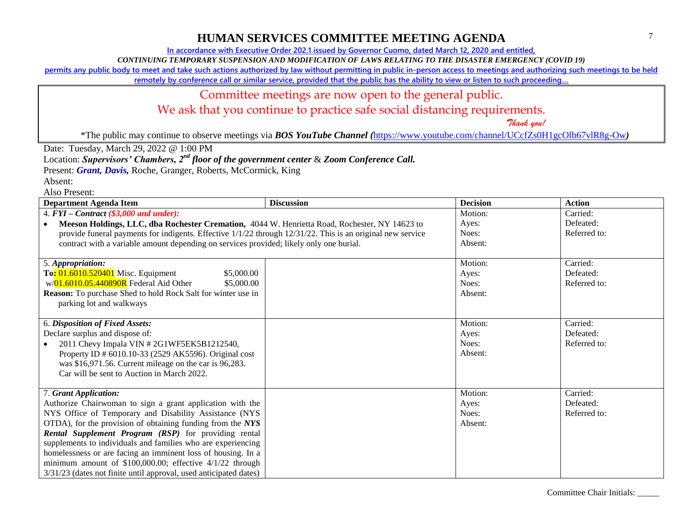**In accordance with Executive Order 202.1 issued by Governor Cuomo, dated March 12, 2020 and entitled,**

*CONTINUING TEMPORARY SUSPENSION AND MODIFICATION OF LAWS RELATING TO THE DISASTER EMERGENCY (COVID 19)*

**permits any public body to meet and take such actions authorized by law without permitting in public in-person access to meetings and authorizing such meetings to be held** 

**remotely by conference call or similar service, provided that the public has the ability to view or listen to such proceeding…**

#### Committee meetings are now open to the general public.

We ask that you continue to practice safe social distancing requirements.

 *Thank you!*

\*The public may continue to observe meetings via *BOS YouTube Channel (*<https://www.youtube.com/channel/UCcfZs0H1gcOlb67vlR8g-Ow>*)*

Date: Tuesday, March 29, 2022 @ 1:00 PM

Location: *Supervisors' Chambers, 2nd floor of the government center* & *Zoom Conference Call.*

Present: *Grant, Davis*, Roche, Granger, Roberts, McCormick, King

Absent:

| <b>Department Agenda Item</b>                                                                              | <b>Discussion</b> | <b>Decision</b> | <b>Action</b> |
|------------------------------------------------------------------------------------------------------------|-------------------|-----------------|---------------|
| 4. $FYI$ – Contract (\$3,000 and under):                                                                   |                   | Motion:         | Carried:      |
| Meeson Holdings, LLC, dba Rochester Cremation, 4044 W. Henrietta Road, Rochester, NY 14623 to              |                   | Ayes:           | Defeated:     |
| provide funeral payments for indigents. Effective 1/1/22 through 12/31/22. This is an original new service |                   | Noes:           | Referred to:  |
| contract with a variable amount depending on services provided; likely only one burial.                    |                   | Absent:         |               |
|                                                                                                            |                   |                 |               |
| 5. Appropriation:                                                                                          |                   | Motion:         | Carried:      |
| To: 01.6010.520401 Misc. Equipment<br>\$5,000.00                                                           |                   | Ayes:           | Defeated:     |
| w/01.6010.05.440890R Federal Aid Other<br>\$5,000.00                                                       |                   | Noes:           | Referred to:  |
| <b>Reason:</b> To purchase Shed to hold Rock Salt for winter use in                                        |                   | Absent:         |               |
| parking lot and walkways                                                                                   |                   |                 |               |
|                                                                                                            |                   |                 |               |
| 6. Disposition of Fixed Assets:                                                                            |                   | Motion:         | Carried:      |
| Declare surplus and dispose of:                                                                            |                   | Ayes:           | Defeated:     |
| 2011 Chevy Impala VIN #2G1WF5EK5B1212540,                                                                  |                   | Noes:           | Referred to:  |
| Property ID # 6010.10-33 (2529 AK5596). Original cost                                                      |                   | Absent:         |               |
| was \$16,971.56. Current mileage on the car is 96,283.                                                     |                   |                 |               |
| Car will be sent to Auction in March 2022.                                                                 |                   |                 |               |
|                                                                                                            |                   |                 |               |
| 7. Grant Application:                                                                                      |                   | Motion:         | Carried:      |
| Authorize Chairwoman to sign a grant application with the                                                  |                   | Ayes:           | Defeated:     |
| NYS Office of Temporary and Disability Assistance (NYS                                                     |                   | Noes:           | Referred to:  |
| OTDA), for the provision of obtaining funding from the NYS                                                 |                   | Absent:         |               |
| Rental Supplement Program (RSP) for providing rental                                                       |                   |                 |               |
| supplements to individuals and families who are experiencing                                               |                   |                 |               |
| homelessness or are facing an imminent loss of housing. In a                                               |                   |                 |               |
| minimum amount of $$100,000.00$ ; effective $4/1/22$ through                                               |                   |                 |               |
| 3/31/23 (dates not finite until approval, used anticipated dates)                                          |                   |                 |               |